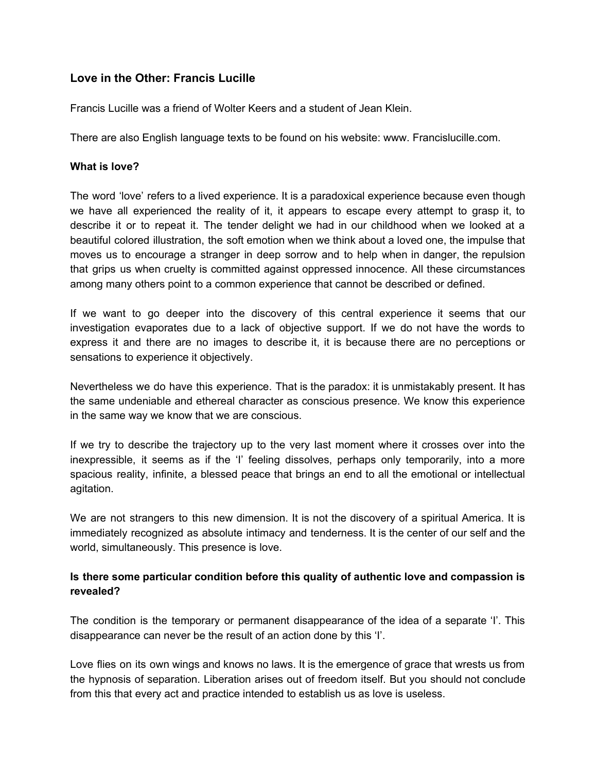## **Love in the Other: Francis Lucille**

Francis Lucille was a friend of Wolter Keers and a student of Jean Klein.

There are also English language texts to be found on his website: www. Francislucille.com.

## **What is love?**

The word 'love' refers to a lived experience. It is a paradoxical experience because even though we have all experienced the reality of it, it appears to escape every attempt to grasp it, to describe it or to repeat it. The tender delight we had in our childhood when we looked at a beautiful colored illustration, the soft emotion when we think about a loved one, the impulse that moves us to encourage a stranger in deep sorrow and to help when in danger, the repulsion that grips us when cruelty is committed against oppressed innocence. All these circumstances among many others point to a common experience that cannot be described or defined.

If we want to go deeper into the discovery of this central experience it seems that our investigation evaporates due to a lack of objective support. If we do not have the words to express it and there are no images to describe it, it is because there are no perceptions or sensations to experience it objectively.

Nevertheless we do have this experience. That is the paradox: it is unmistakably present. It has the same undeniable and ethereal character as conscious presence. We know this experience in the same way we know that we are conscious.

If we try to describe the trajectory up to the very last moment where it crosses over into the inexpressible, it seems as if the 'I' feeling dissolves, perhaps only temporarily, into a more spacious reality, infinite, a blessed peace that brings an end to all the emotional or intellectual agitation.

We are not strangers to this new dimension. It is not the discovery of a spiritual America. It is immediately recognized as absolute intimacy and tenderness. It is the center of our self and the world, simultaneously. This presence is love.

## **Is there some particular condition before this quality of authentic love and compassion is revealed?**

The condition is the temporary or permanent disappearance of the idea of a separate 'I'. This disappearance can never be the result of an action done by this 'I'.

Love flies on its own wings and knows no laws. It is the emergence of grace that wrests us from the hypnosis of separation. Liberation arises out of freedom itself. But you should not conclude from this that every act and practice intended to establish us as love is useless.